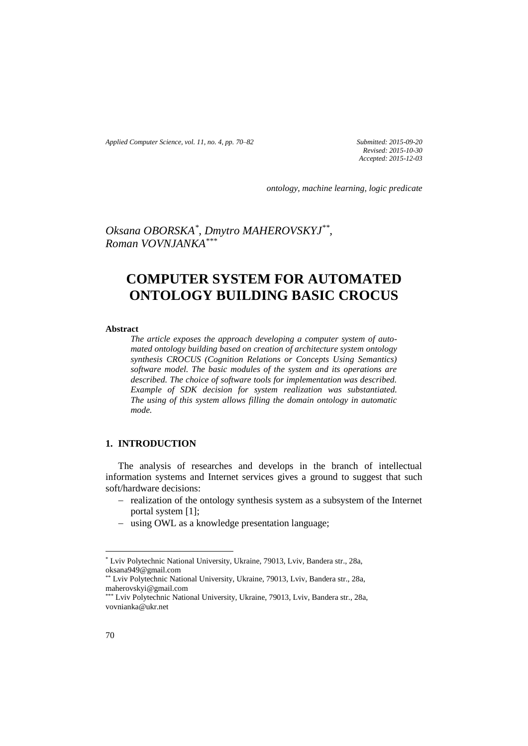*Applied Computer Science, vol. 11, no. 4, pp. 70–82 Submitted: 2015-09-20*

*Revised: 2015-10-30 Accepted: 2015-12-03*

*ontology, machine learning, logic predicate*

*Oksana OBORSKA\* , Dmytro MAHEROVSKYJ\*\* , Roman VOVNJANKA\*\*\**

# **COMPUTER SYSTEM FOR AUTOMATED ONTOLOGY BUILDING BASIC CROCUS**

#### **Abstract**

*The article exposes the approach developing a computer system of automated ontology building based on creation of architecture system ontology synthesis CROCUS (Cognition Relations or Concepts Using Semantics) software model. The basic modules of the system and its operations are described. The choice of software tools for implementation was described. Example of SDK decision for system realization was substantiated. The using of this system allows filling the domain ontology in automatic mode.*

# **1. INTRODUCTION**

The analysis of researches and develops in the branch of intellectual information systems and Internet services gives a ground to suggest that such soft/hardware decisions:

- realization of the ontology synthesis system as a subsystem of the Internet portal system [1];
- using OWL as a knowledge presentation language;

 $\overline{\phantom{a}}$ 

<sup>\*</sup> Lviv Polytechnic National University, Ukraine, 79013, Lviv, Bandera str., 28a, oksana949@gmail.com

<sup>\*\*</sup> Lviv Polytechnic National University, Ukraine, 79013, Lviv, Bandera str., 28a, maherovskyi@gmail.com

<sup>\*\*\*</sup> Lviv Polytechnic National University, Ukraine, 79013, Lviv, Bandera str., 28a, vovnianka@ukr.net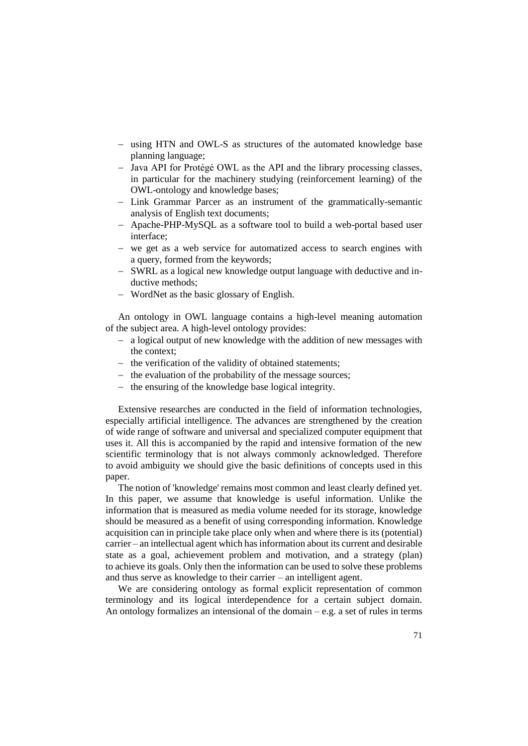- using HTN and OWL-S as structures of the automated knowledge base planning language;
- Java API for Protégé OWL as the API and the library processing classes, in particular for the machinery studying (reinforcement learning) of the OWL-ontology and knowledge bases;
- Link Grammar Parcer as an instrument of the grammatically-semantic analysis of English text documents;
- Apache-PHP-MySQL as a software tool to build a web-portal based user interface;
- we get as a web service for automatized access to search engines with a query, formed from the keywords;
- SWRL as a logical new knowledge output language with deductive and inductive methods;
- WordNet as the basic glossary of English.

An ontology in OWL language contains a high-level meaning automation of the subject area. A high-level ontology provides:

- a logical output of new knowledge with the addition of new messages with the context;
- the verification of the validity of obtained statements;
- $-$  the evaluation of the probability of the message sources;
- $\theta$  the ensuring of the knowledge base logical integrity.

Extensive researches are conducted in the field of information technologies, especially artificial intelligence. The advances are strengthened by the creation of wide range of software and universal and specialized computer equipment that uses it. All this is accompanied by the rapid and intensive formation of the new scientific terminology that is not always commonly acknowledged. Therefore to avoid ambiguity we should give the basic definitions of concepts used in this paper.

The notion of 'knowledge' remains most common and least clearly defined yet. In this paper, we assume that knowledge is useful information. Unlike the information that is measured as media volume needed for its storage, knowledge should be measured as a benefit of using corresponding information. Knowledge acquisition can in principle take place only when and where there is its (potential) carrier – an intellectual agent which has information about its current and desirable state as a goal, achievement problem and motivation, and a strategy (plan) to achieve its goals. Only then the information can be used to solve these problems and thus serve as knowledge to their carrier – an intelligent agent.

We are considering ontology as formal explicit representation of common terminology and its logical interdependence for a certain subject domain. An ontology formalizes an intensional of the domain – e.g. a set of rules in terms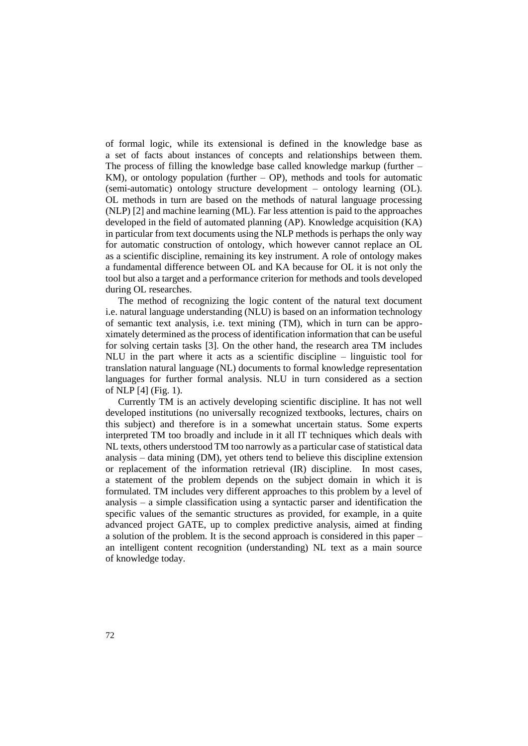of formal logic, while its extensional is defined in the knowledge base as a set of facts about instances of concepts and relationships between them. The process of filling the knowledge base called knowledge markup (further  $-$ KM), or ontology population (further  $-$  OP), methods and tools for automatic (semi-automatic) ontology structure development – ontology learning (OL). OL methods in turn are based on the methods of natural language processing (NLP) [2] and machine learning (ML). Far less attention is paid to the approaches developed in the field of automated planning (AP). Knowledge acquisition (KA) in particular from text documents using the NLP methods is perhaps the only way for automatic construction of ontology, which however cannot replace an OL as a scientific discipline, remaining its key instrument. A role of ontology makes a fundamental difference between OL and KA because for OL it is not only the tool but also a target and a performance criterion for methods and tools developed during OL researches.

The method of recognizing the logic content of the natural text document i.e. natural language understanding (NLU) is based on an information technology of semantic text analysis, i.e. text mining (TM), which in turn can be approximately determined as the process of identification information that can be useful for solving certain tasks [3]. On the other hand, the research area TM includes NLU in the part where it acts as a scientific discipline – linguistic tool for translation natural language (NL) documents to formal knowledge representation languages for further formal analysis. NLU in turn considered as a section of NLP [4] (Fig. 1).

Currently TM is an actively developing scientific discipline. It has not well developed institutions (no universally recognized textbooks, lectures, chairs on this subject) and therefore is in a somewhat uncertain status. Some experts interpreted TM too broadly and include in it all IT techniques which deals with NL texts, others understood TM too narrowly as a particular case of statistical data analysis – data mining (DM), yet others tend to believe this discipline extension or replacement of the information retrieval (IR) discipline. In most cases, a statement of the problem depends on the subject domain in which it is formulated. TM includes very different approaches to this problem by a level of analysis – a simple classification using a syntactic parser and identification the specific values of the semantic structures as provided, for example, in a quite advanced project GATE, up to complex predictive analysis, aimed at finding a solution of the problem. It is the second approach is considered in this paper – an intelligent content recognition (understanding) NL text as a main source of knowledge today.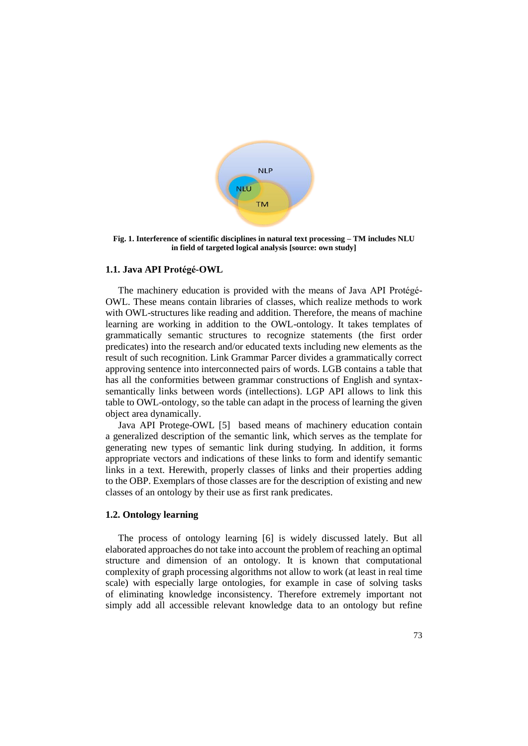

**Fig. 1. Interference of scientific disciplines in natural text processing – TM includes NLU in field of targeted logical analysis [source: own study]**

# **1.1. Java API Protégé-OWL**

The machinery education is provided with the means of Java API Protégé-OWL. These means contain libraries of classes, which realize methods to work with OWL-structures like reading and addition. Therefore, the means of machine learning are working in addition to the OWL-ontology. It takes templates of grammatically semantic structures to recognize statements (the first order predicates) into the research and/or educated texts including new elements as the result of such recognition. Link Grammar Parcer divides a grammatically correct approving sentence into interconnected pairs of words. LGB contains a table that has all the conformities between grammar constructions of English and syntaxsemantically links between words (intellections). LGP API allows to link this table to OWL-ontology, so the table can adapt in the process of learning the given object area dynamically.

Java API Protege-OWL [5] based means of machinery education contain a generalized description of the semantic link, which serves as the template for generating new types of semantic link during studying. In addition, it forms appropriate vectors and indications of these links to form and identify semantic links in a text. Herewith, properly classes of links and their properties adding to the OBP. Exemplars of those classes are for the description of existing and new classes of an ontology by their use as first rank predicates.

## **1.2. Ontology learning**

The process of ontology learning [6] is widely discussed lately. But all elaborated approaches do not take into account the problem of reaching an optimal structure and dimension of an ontology. It is known that computational complexity of graph processing algorithms not allow to work (at least in real time scale) with especially large ontologies, for example in case of solving tasks of eliminating knowledge inconsistency. Therefore extremely important not simply add all accessible relevant knowledge data to an ontology but refine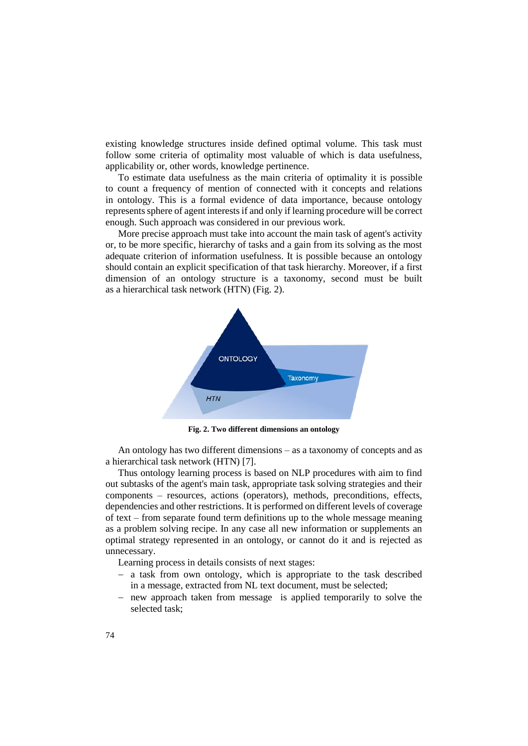existing knowledge structures inside defined optimal volume. This task must follow some criteria of optimality most valuable of which is data usefulness, applicability or, other words, knowledge pertinence.

To estimate data usefulness as the main criteria of optimality it is possible to count a frequency of mention of connected with it concepts and relations in ontology. This is a formal evidence of data importance, because ontology represents sphere of agent interests if and only if learning procedure will be correct enough. Such approach was considered in our previous work.

More precise approach must take into account the main task of agent's activity or, to be more specific, hierarchy of tasks and a gain from its solving as the most adequate criterion of information usefulness. It is possible because an ontology should contain an explicit specification of that task hierarchy. Moreover, if a first dimension of an ontology structure is a taxonomy, second must be built as a hierarchical task network (HTN) (Fig. 2).



**Fig. 2. Two different dimensions an ontology**

An ontology has two different dimensions – as a taxonomy of concepts and as a hierarchical task network (HTN) [7].

Thus ontology learning process is based on NLP procedures with aim to find out subtasks of the agent's main task, appropriate task solving strategies and their components – resources, actions (operators), methods, preconditions, effects, dependencies and other restrictions. It is performed on different levels of coverage of text – from separate found term definitions up to the whole message meaning as a problem solving recipe. In any case all new information or supplements an optimal strategy represented in an ontology, or cannot do it and is rejected as unnecessary.

Learning process in details consists of next stages:

- a task from own ontology, which is appropriate to the task described in a message, extracted from NL text document, must be selected;
- new approach taken from message is applied temporarily to solve the selected task;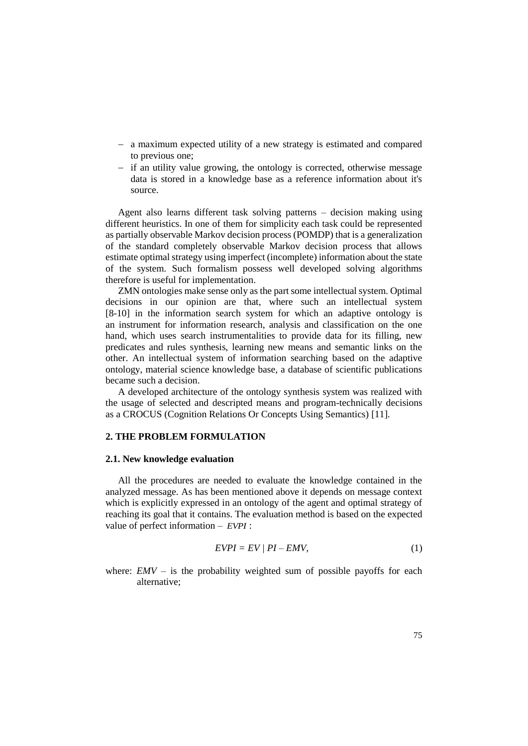- a maximum expected utility of a new strategy is estimated and compared to previous one;
- if an utility value growing, the ontology is corrected, otherwise message data is stored in a knowledge base as a reference information about it's source.

Agent also learns different task solving patterns – decision making using different heuristics. In one of them for simplicity each task could be represented as partially observable Markov decision process (POMDP) that is a generalization of the standard completely observable Markov decision process that allows estimate optimal strategy using imperfect (incomplete) information about the state of the system. Such formalism possess well developed solving algorithms therefore is useful for implementation.

ZMN ontologies make sense only as the part some intellectual system. Optimal decisions in our opinion are that, where such an intellectual system [8-10] in the information search system for which an adaptive ontology is an instrument for information research, analysis and classification on the one hand, which uses search instrumentalities to provide data for its filling, new predicates and rules synthesis, learning new means and semantic links on the other. An intellectual system of information searching based on the adaptive ontology, material science knowledge base, a database of scientific publications became such a decision.

A developed architecture of the ontology synthesis system was realized with the usage of selected and descripted means and program-technically decisions as a CROCUS (Cognition Relations Or Concepts Using Semantics) [11].

# **2. THE PROBLEM FORMULATION**

#### **2.1. New knowledge evaluation**

All the procedures are needed to evaluate the knowledge contained in the analyzed message. As has been mentioned above it depends on message context which is explicitly expressed in an ontology of the agent and optimal strategy of reaching its goal that it contains. The evaluation method is based on the expected value of perfect information – *EVPI* :

$$
EVPI = EV / PI - EMV, \tag{1}
$$

where:  $EMV -$  is the probability weighted sum of possible payoffs for each alternative;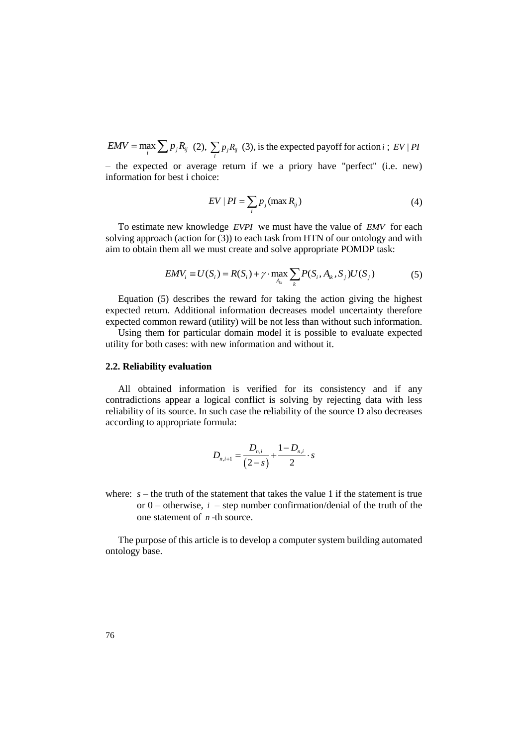$EMV = \max_i \sum_i p_i R_{ij}$  (2),  $\sum_i p_j R_{ij}$  (3), is the expected payoff for action *i*; *EV* | *PI* 

– the expected or average return if we a priory have "perfect" (i.e. new) information for best i choice:

$$
EV | PI = \sum_{i} p_j (\max R_{ij})
$$
 (4)

To estimate new knowledge *EVPI* we must have the value of *EMV* for each solving approach (action for (3)) to each task from HTN of our ontology and with aim to obtain them all we must create and solve appropriate POMDP task:

$$
EMV_i \equiv U(S_i) = R(S_i) + \gamma \cdot \max_{A_{ik}} \sum_k P(S_i, A_{ik}, S_j) U(S_j)
$$
 (5)

Equation (5) describes the reward for taking the action giving the highest expected return. Additional information decreases model uncertainty therefore expected common reward (utility) will be not less than without such information.

Using them for particular domain model it is possible to evaluate expected utility for both cases: with new information and without it.

#### **2.2. Reliability evaluation**

All obtained information is verified for its consistency and if any contradictions appear a logical conflict is solving by rejecting data with less reliability of its source. In such case the reliability of the source D also decreases according to appropriate formula:

$$
D_{n,i+1} = \frac{D_{n,i}}{(2-s)} + \frac{1-D_{n,i}}{2} \cdot s
$$

where:  $s$  – the truth of the statement that takes the value 1 if the statement is true or  $0$  – otherwise,  $i$  – step number confirmation/denial of the truth of the one statement of *n* -th source.

The purpose of this article is to develop a computer system building automated ontology base.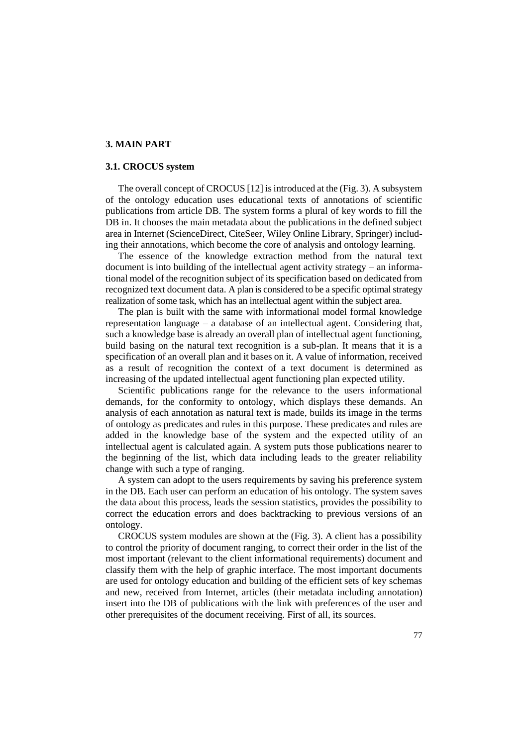## **3. MAIN PART**

## **3.1. CROCUS system**

The overall concept of CROCUS [12] is introduced at the (Fig. 3). A subsystem of the ontology education uses educational texts of annotations of scientific publications from article DB. The system forms a plural of key words to fill the DB in. It chooses the main metadata about the publications in the defined subject area in Internet (ScienceDirect, CiteSeer, Wiley Online Library, Springer) including their annotations, which become the core of analysis and ontology learning.

The essence of the knowledge extraction method from the natural text document is into building of the intellectual agent activity strategy – an informational model of the recognition subject of its specification based on dedicated from recognized text document data. A plan is considered to be a specific optimal strategy realization of some task, which has an intellectual agent within the subject area.

The plan is built with the same with informational model formal knowledge representation language – a database of an intellectual agent. Considering that, such a knowledge base is already an overall plan of intellectual agent functioning, build basing on the natural text recognition is a sub-plan. It means that it is a specification of an overall plan and it bases on it. A value of information, received as a result of recognition the context of a text document is determined as increasing of the updated intellectual agent functioning plan expected utility.

Scientific publications range for the relevance to the users informational demands, for the conformity to ontology, which displays these demands. An analysis of each annotation as natural text is made, builds its image in the terms of ontology as predicates and rules in this purpose. These predicates and rules are added in the knowledge base of the system and the expected utility of an intellectual agent is calculated again. A system puts those publications nearer to the beginning of the list, which data including leads to the greater reliability change with such a type of ranging.

A system can adopt to the users requirements by saving his preference system in the DB. Each user can perform an education of his ontology. The system saves the data about this process, leads the session statistics, provides the possibility to correct the education errors and does backtracking to previous versions of an ontology.

CROCUS system modules are shown at the (Fig. 3). A client has a possibility to control the priority of document ranging, to correct their order in the list of the most important (relevant to the client informational requirements) document and classify them with the help of graphic interface. The most important documents are used for ontology education and building of the efficient sets of key schemas and new, received from Internet, articles (their metadata including annotation) insert into the DB of publications with the link with preferences of the user and other prerequisites of the document receiving. First of all, its sources.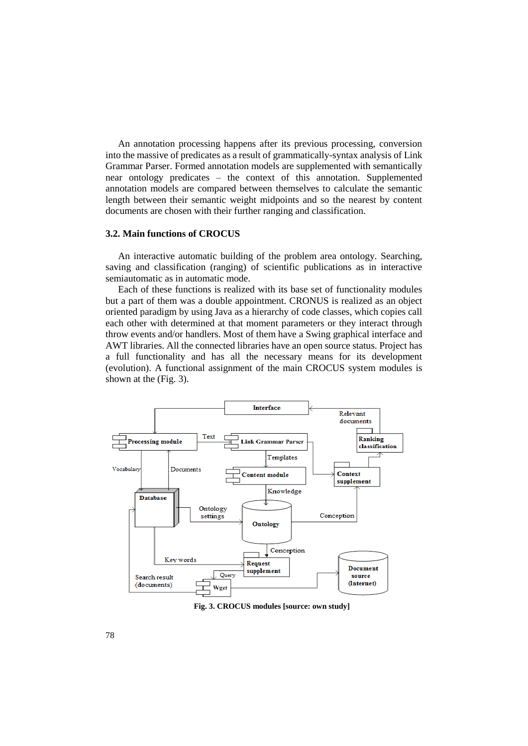An annotation processing happens after its previous processing, conversion into the massive of predicates as a result of grammatically-syntax analysis of Link Grammar Parser. Formed annotation models are supplemented with semantically near ontology predicates – the context of this annotation. Supplemented annotation models are compared between themselves to calculate the semantic length between their semantic weight midpoints and so the nearest by content documents are chosen with their further ranging and classification.

#### **3.2. Main functions of CROCUS**

An interactive automatic building of the problem area ontology. Searching, saving and classification (ranging) of scientific publications as in interactive semiautomatic as in automatic mode.

Each of these functions is realized with its base set of functionality modules but a part of them was a double appointment. CRONUS is realized as an object oriented paradigm by using Java as a hierarchy of code classes, which copies call each other with determined at that moment parameters or they interact through throw events and/or handlers. Most of them have a Swing graphical interface and AWT libraries. All the connected libraries have an open source status. Project has a full functionality and has all the necessary means for its development (evolution). A functional assignment of the main CROCUS system modules is shown at the (Fig. 3).



**Fig. 3. CROCUS modules [source: own study]**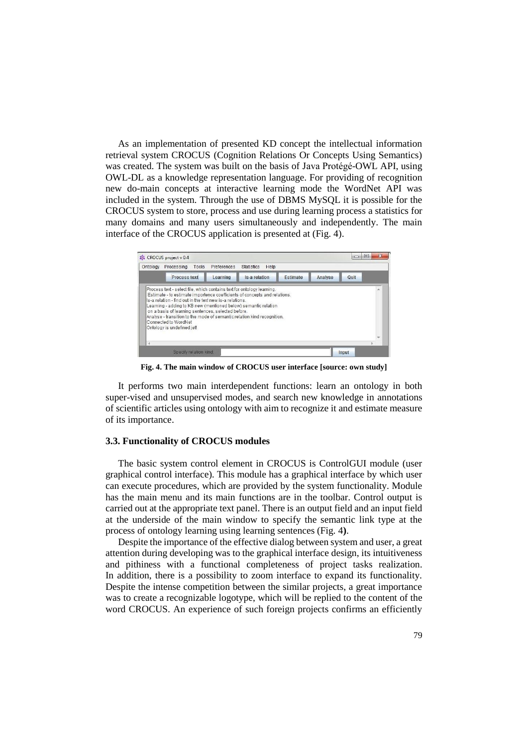As an implementation of presented KD concept the intellectual information retrieval system CROCUS (Cognition Relations Or Concepts Using Semantics) was created. The system was built on the basis of Java Protégé-OWL API, using OWL-DL as a knowledge representation language. For providing of recognition new do-main concepts at interactive learning mode the WordNet API was included in the system. Through the use of DBMS MySQL it is possible for the CROCUS system to store, process and use during learning process a statistics for many domains and many users simultaneously and independently. The main interface of the CROCUS application is presented at (Fig. 4).



**Fig. 4. The main window of CROCUS user interface [source: own study]**

It performs two main interdependent functions: learn an ontology in both super-vised and unsupervised modes, and search new knowledge in annotations of scientific articles using ontology with aim to recognize it and estimate measure of its importance.

#### **3.3. Functionality of CROCUS modules**

The basic system control element in CROCUS is ControlGUI module (user graphical control interface). This module has a graphical interface by which user can execute procedures, which are provided by the system functionality. Module has the main menu and its main functions are in the toolbar. Control output is carried out at the appropriate text panel. There is an output field and an input field at the underside of the main window to specify the semantic link type at the process of ontology learning using learning sentences (Fig. 4**)**.

Despite the importance of the effective dialog between system and user, a great attention during developing was to the graphical interface design, its intuitiveness and pithiness with a functional completeness of project tasks realization. In addition, there is a possibility to zoom interface to expand its functionality. Despite the intense competition between the similar projects, a great importance was to create a recognizable logotype, which will be replied to the content of the word CROCUS. An experience of such foreign projects confirms an efficiently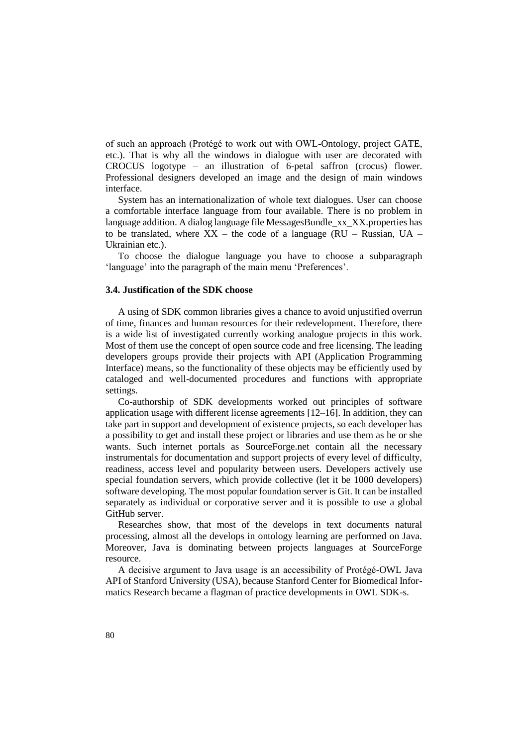of such an approach (Protégé to work out with OWL-Ontology, project GATE, etc.). That is why all the windows in dialogue with user are decorated with CROCUS logotype – an illustration of 6-petal saffron (crocus) flower. Professional designers developed an image and the design of main windows interface.

System has an internationalization of whole text dialogues. User can choose a comfortable interface language from four available. There is no problem in language addition. A dialog language file MessagesBundle\_xx\_XX.properties has to be translated, where  $XX$  – the code of a language (RU – Russian, UA – Ukrainian etc.).

To choose the dialogue language you have to choose a subparagraph 'language' into the paragraph of the main menu 'Preferences'.

## **3.4. Justification of the SDK choose**

A using of SDK common libraries gives a chance to avoid unjustified overrun of time, finances and human resources for their redevelopment. Therefore, there is a wide list of investigated currently working analogue projects in this work. Most of them use the concept of open source code and free licensing. The leading developers groups provide their projects with API (Application Programming Interface) means, so the functionality of these objects may be efficiently used by cataloged and well-documented procedures and functions with appropriate settings.

Co-authorship of SDK developments worked out principles of software application usage with different license agreements [12–16]. In addition, they can take part in support and development of existence projects, so each developer has a possibility to get and install these project or libraries and use them as he or she wants. Such internet portals as SourceForge.net contain all the necessary instrumentals for documentation and support projects of every level of difficulty, readiness, access level and popularity between users. Developers actively use special foundation servers, which provide collective (let it be 1000 developers) software developing. The most popular foundation server is Git. It can be installed separately as individual or corporative server and it is possible to use a global GitHub server.

Researches show, that most of the develops in text documents natural processing, almost all the develops in ontology learning are performed on Java. Moreover, Java is dominating between projects languages at SourceForge resource.

A decisive argument to Java usage is an accessibility of Protégé-OWL Java API of Stanford University (USA), because Stanford Center for Biomedical Informatics Research became a flagman of practice developments in OWL SDK-s.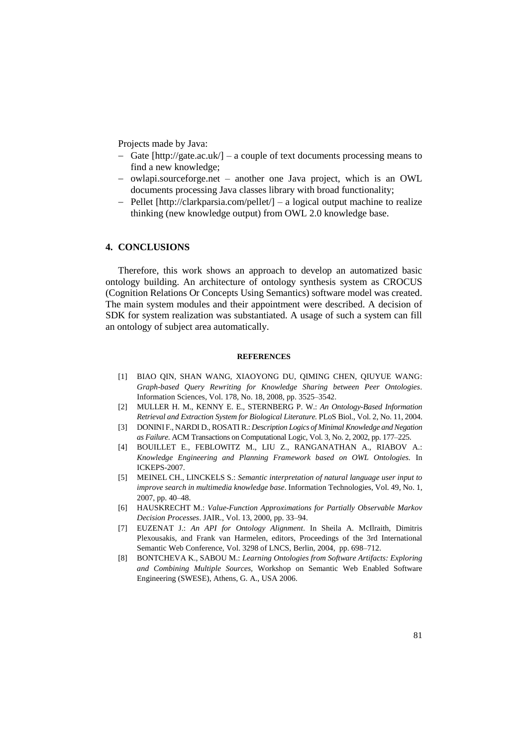Projects made by Java:

- Gate [http://gate.ac.uk/] a couple of text documents processing means to find a new knowledge;
- owlapi.sourceforge.net another one Java project, which is an OWL documents processing Java classes library with broad functionality;
- $-$  Pellet [http://clarkparsia.com/pellet/]  $-$  a logical output machine to realize thinking (new knowledge output) from OWL 2.0 knowledge base.

# **4. CONCLUSIONS**

Therefore, this work shows an approach to develop an automatized basic ontology building. An architecture of ontology synthesis system as CROCUS (Cognition Relations Or Concepts Using Semantics) software model was created. The main system modules and their appointment were described. A decision of SDK for system realization was substantiated. A usage of such a system can fill an ontology of subject area automatically.

## **REFERENCES**

- [1] BIAO QIN, SHAN WANG, XIAOYONG DU, QIMING CHEN, QIUYUE WANG: *Graph-based Query Rewriting for Knowledge Sharing between Peer Ontologies*. Information Sciences, Vol. 178, No. 18, 2008, pp. 3525–3542.
- [2] MULLER H. M., KENNY E. E., STERNBERG P. W.: *An Ontology-Based Information Retrieval and Extraction System for Biological Literature.* PLoS Biol., Vol. 2, No. 11, 2004.
- [3] DONINI F., NARDI D., ROSATI R.: *Description Logics of Minimal Knowledge and Negation as Failure*. ACM Transactions on Computational Logic, Vol. 3, No. 2, 2002, pp. 177–225.
- [4] BOUILLET E., FEBLOWITZ M., LIU Z., RANGANATHAN A., RIABOV A.: *Knowledge Engineering and Planning Framework based on OWL Ontologies.* In ICKEPS-2007.
- [5] MEINEL CH., LINCKELS S.: *Semantic interpretation of natural language user input to improve search in multimedia knowledge base*. Information Technologies, Vol. 49, No. 1, 2007, pp. 40–48.
- [6] HAUSKRECHT M.: *Value-Function Approximations for Partially Observable Markov Decision Processes*. JAIR., Vol. 13, 2000, pp. 33–94.
- [7] EUZENAT J.: *An API for Ontology Alignment*. In Sheila A. McIlraith, Dimitris Plexousakis, and Frank van Harmelen, editors, Proceedings of the 3rd International Semantic Web Conference, Vol. 3298 of LNCS, Berlin, 2004, pp. 698–712.
- [8] BONTCHEVA K., SABOU M.: *Learning Ontologies from Software Artifacts: Exploring and Combining Multiple Sources,* Workshop on Semantic Web Enabled Software Engineering (SWESE), Athens, G. A., USA 2006.